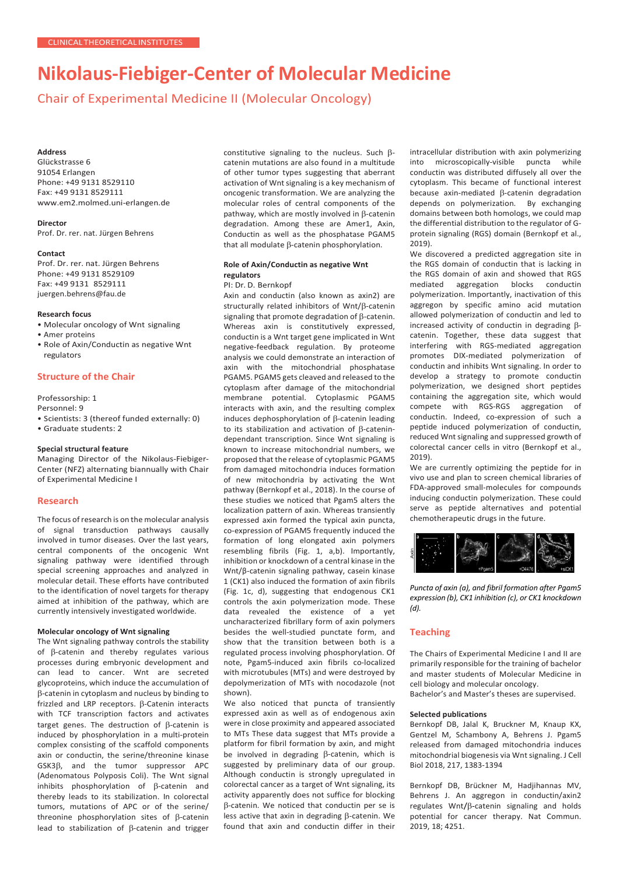# **Nikolaus-Fiebiger-Center of Molecular Medicine**

Chair of Experimental Medicine II (Molecular Oncology)

## **Address**

Glückstrasse 6 91054 Erlangen Phone: +49 9131 8529110 Fax: +49 9131 8529111 [www.em2.molmed.uni-erlangen.de](http://www.em2.molmed.uni-erlangen.de/)

## **Director**

Prof. Dr. rer. nat. Jürgen Behrens

#### **Contact**

Prof. Dr. rer. nat. Jürgen Behrens Phone: +49 9131 8529109 Fax: +49 9131 8529111 [juergen.behrens@fau.de](mailto:juergen.behrens@fau.de)

## **Research focus**

- Molecular oncology of Wnt signaling
- Amer proteins
- Role of Axin/Conductin as negative Wnt regulators

# **Structure of the Chair**

Professorship: 1 Personnel: 9

• Scientists: 3 (thereof funded externally: 0)

• Graduate students: 2

## **Special structural feature**

Managing Director of the Nikolaus-Fiebiger-Center (NFZ) alternating biannually with Chair of Experimental Medicine I

## **Research**

The focus of research is on the molecular analysis of signal transduction pathways causally involved in tumor diseases. Over the last years, central components of the oncogenic Wnt signaling pathway were identified through special screening approaches and analyzed in molecular detail. These efforts have contributed to the identification of novel targets for therapy aimed at inhibition of the pathway, which are currently intensively investigated worldwide.

#### **Molecular oncology of Wnt signaling**

The Wnt signaling pathway controls the stability of β-catenin and thereby regulates various processes during embryonic development and can lead to cancer. Wnt are secreted glycoproteins, which induce the accumulation of β-catenin in cytoplasm and nucleus by binding to frizzled and LRP receptors. β-Catenin interacts with TCF transcription factors and activates target genes. The destruction of β-catenin is induced by phosphorylation in a multi-protein complex consisting of the scaffold components axin or conductin, the serine/threonine kinase GSK3β, and the tumor suppressor APC (Adenomatous Polyposis Coli). The Wnt signal inhibits phosphorylation of β-catenin and thereby leads to its stabilization. In colorectal tumors, mutations of APC or of the serine/ threonine phosphorylation sites of β-catenin lead to stabilization of β-catenin and trigger

constitutive signaling to the nucleus. Such βcatenin mutations are also found in a multitude of other tumor types suggesting that aberrant activation of Wnt signaling is a key mechanism of oncogenic transformation. We are analyzing the molecular roles of central components of the pathway, which are mostly involved in β-catenin degradation. Among these are Amer1, Axin, Conductin as well as the phosphatase PGAM5 that all modulate β-catenin phosphorylation.

# **Role of Axin/Conductin as negative Wnt regulators**

#### PI: Dr. D. Bernkopf

Axin and conductin (also known as axin2) are structurally related inhibitors of Wnt/β-catenin signaling that promote degradation of β-catenin. Whereas axin is constitutively expressed, conductin is a Wnt target gene implicated in Wnt negative-feedback regulation. By proteome analysis we could demonstrate an interaction of axin with the mitochondrial phosphatase PGAM5. PGAM5 gets cleaved and released to the cytoplasm after damage of the mitochondrial membrane potential. Cytoplasmic PGAM5 interacts with axin, and the resulting complex induces dephosphorylation of β-catenin leading to its stabilization and activation of β-catenindependant transcription. Since Wnt signaling is known to increase mitochondrial numbers, we proposed that the release of cytoplasmic PGAM5 from damaged mitochondria induces formation of new mitochondria by activating the Wnt pathway (Bernkopf et al., 2018). In the course of these studies we noticed that Pgam5 alters the localization pattern of axin. Whereas transiently expressed axin formed the typical axin puncta, co-expression of PGAM5 frequently induced the formation of long elongated axin polymers resembling fibrils (Fig. 1, a,b). Importantly, inhibition or knockdown of a central kinase in the Wnt/β-catenin signaling pathway, casein kinase 1 (CK1) also induced the formation of axin fibrils (Fig. 1c, d), suggesting that endogenous CK1 controls the axin polymerization mode. These data revealed the existence of a yet uncharacterized fibrillary form of axin polymers besides the well-studied punctate form, and show that the transition between both is a regulated process involving phosphorylation. Of note, Pgam5-induced axin fibrils co-localized with microtubules (MTs) and were destroyed by depolymerization of MTs with nocodazole (not shown).

We also noticed that puncta of transiently expressed axin as well as of endogenous axin were in close proximity and appeared associated to MTs These data suggest that MTs provide a platform for fibril formation by axin, and might be involved in degrading β-catenin, which is suggested by preliminary data of our group. Although conductin is strongly upregulated in colorectal cancer as a target of Wnt signaling, its activity apparently does not suffice for blocking β-catenin. We noticed that conductin per se is less active that axin in degrading β-catenin. We found that axin and conductin differ in their

intracellular distribution with axin polymerizing into microscopically-visible puncta while conductin was distributed diffusely all over the cytoplasm. This became of functional interest because axin-mediated β-catenin degradation depends on polymerization. By exchanging domains between both homologs, we could map the differential distribution to the regulator of Gprotein signaling (RGS) domain (Bernkopf et al., 2019).

We discovered a predicted aggregation site in the RGS domain of conductin that is lacking in the RGS domain of axin and showed that RGS mediated aggregation blocks conductin polymerization. Importantly, inactivation of this aggregon by specific amino acid mutation allowed polymerization of conductin and led to increased activity of conductin in degrading βcatenin. Together, these data suggest that interfering with RGS-mediated aggregation promotes DIX-mediated polymerization of conductin and inhibits Wnt signaling. In order to develop a strategy to promote conductin polymerization, we designed short peptides containing the aggregation site, which would compete with RGS-RGS aggregation of conductin. Indeed, co-expression of such a peptide induced polymerization of conductin, reduced Wnt signaling and suppressed growth of colorectal cancer cells in vitro (Bernkopf et al., 2019).

We are currently optimizing the peptide for in vivo use and plan to screen chemical libraries of FDA-approved small-molecules for compounds inducing conductin polymerization. These could serve as peptide alternatives and potential chemotherapeutic drugs in the future.



*Puncta of axin (a), and fibril formation after Pgam5 expression (b), CK1 inhibition (c), or CK1 knockdown (d).*

# **Teaching**

The Chairs of Experimental Medicine I and II are primarily responsible for the training of bachelor and master students of Molecular Medicine in cell biology and molecular oncology. Bachelor's and Master's theses are supervised.

#### **Selected publications**

Bernkopf DB, Jalal K, Bruckner M, Knaup KX, Gentzel M, Schambony A, Behrens J. Pgam5 released from damaged mitochondria induces mitochondrial biogenesis via Wnt signaling. J Cell Biol 2018, 217, 1383-1394

Bernkopf DB, Brückner M, Hadjihannas MV, Behrens J. An aggregon in conductin/axin2 regulates Wnt/β-catenin signaling and holds potential for cancer therapy. Nat Commun. 2019, 18; 4251.